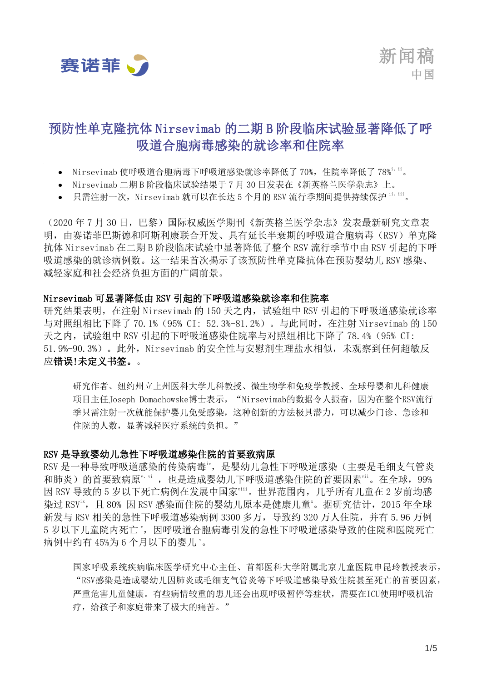

<span id="page-0-0"></span>新闻稿 中国

# 预防性单克隆抗体 Nirsevimab 的二期 B 阶段临床试验显著降低了呼 吸道合胞病毒感染的就诊率和住院率

- Nirsevimab 使呼吸道合胞病毒下呼吸道感染就诊率降低了 70%, 住院率降低了 78%ii。
- Nirsevimab 二期 B 阶段临床试验结果于 7 月 30 日发表在《新英格兰医学杂志》上。
- 只需注射一次, Nirsevimab 就可以在长达 5 个月的 RSV 流行季期间提供持续保护 [ii](#page-0-0)、iii。

(2020 年 7 月 30 日,巴黎)国际权威医学期刊《新英格兰医学杂志》发表最新研究文章表 明,由赛诺菲巴斯德和阿斯利康联合开发、具有延长半衰期的呼吸道合胞病毒(RSV)单克隆 抗体 Nirsevimab 在二期 B 阶段临床试验中显著降低了整个 RSV 流行季节中由 RSV 引起的下呼 吸道感染的就诊病例数。这一结果首次揭示了该预防性单克隆抗体在预防婴幼儿 RSV 感染、 减轻家庭和社会经济负担方面的广阔前景。

#### Nirsevimab 可显著降低由 RSV 引起的下呼吸道感染就诊率和住院率

研究结果表明,在注射 Nirsevimab 的 150 天之内,试验组中 RSV 引起的下呼吸道感染就诊率 与对照组相比下降了 70.1%(95% CI: 52.3%-81.2%)。与此同时,在注射 Nirsevimab 的 150 天之内,试验组中 RSV 引起的下呼吸道感染住院率与对照组相比下降了 78.4%(95% CI: 51.9%-90.3%)。此外, Nirsevimab 的安全性与安慰剂生理盐水相似, 未观察到任何超敏反 应错误!未定义书签。。

研究作者、纽约州立上州医科大学儿科教授、微生物学和免疫学教授、全球母婴和儿科健康 项目主任Joseph Domachowske博士表示, "Nirsevimab的数据令人振奋,因为在整个RSV流行 季只需注射一次就能保护婴儿免受感染,这种创新的方法极具潜力,可以减少门诊、急诊和 住院的人数,显著减轻医疗系统的负担。"

#### RSV 是导致婴幼儿急性下呼吸道感染住院的首要致病原

RSV 是一种导致呼吸道感染的传染病毒iv,是婴幼儿急性下呼吸道感染(主要是毛细支气管炎 和肺炎)的首要致病原"vi,也是造成婴幼儿下呼吸道感染住院的首要因素"ii。在全球,99% 因 RSV 导致的 5 岁以下死亡病例在发展中国家viii。世界范围内,几乎所有儿童在 2 岁前均感 染过 RSV<sup>ix</sup>, 目 80% 因 RSV 感染而住院的婴幼儿原本是健康儿童<sup>x</sup>。据研究估计, 2015 年全球 新发与 RSV 相关的急性下呼吸道感染病例 3300 多万, 导致约 320 万人住院, 并有 5.96 万例 5 岁以下儿童院内死亡",因呼吸道合胞病毒引发的急性下呼吸道感染导致的住院和医院死亡 病例中约有 45%为 6 个月以下的婴儿 v。

国家呼吸系统疾病临床医学研究中心主任、首都医科大学附属北京儿童医院申昆玲教授表示, "RSV感染是造成婴幼儿因肺炎或毛细支气管炎等下呼吸道感染导致住院甚至死亡的首要因素, 严重危害儿童健康。有些病情较重的患儿还会出现呼吸暂停等症状,需要在ICU使用呼吸机治 疗,给孩子和家庭带来了极大的痛苦。"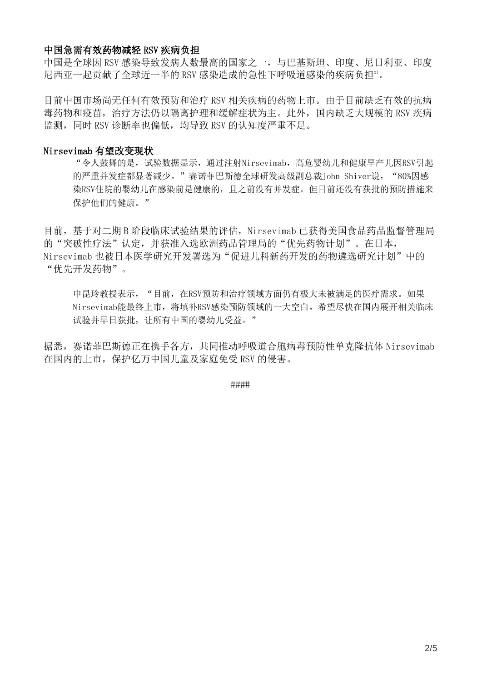## 中国急需有效药物减轻 RSV 疾病负担

中国是全球因 RSV 感染导致发病人数最高的国家之一,与巴基斯坦、印度、尼日利亚、印度 尼西亚一起贡献了全球近一半的 RSV 感染造成的急性下呼吸道感染的疾病负担xi。

目前中国市场尚无任何有效预防和治疗 RSV 相关疾病的药物上市。由于目前缺乏有效的抗病 毒药物和疫苗,治疗方法仍以隔离护理和缓解症状为主。此外,国内缺乏大规模的 RSV 疾病 监测,同时 RSV 诊断率也偏低,均导致 RSV 的认知度严重不足。

### Nirsevimab 有望改变现状

"令人鼓舞的是,试验数据显示,通过注射Nirsevimab,高危婴幼儿和健康早产儿因RSV引起 的严重并发症都显著减少。"赛诺菲巴斯德全球研发高级副总裁John Shiver说, "80%因感 染RSV住院的婴幼儿在感染前是健康的,且之前没有并发症。但目前还没有获批的预防措施来 保护他们的健康。"

目前, 基于对二期 B 阶段临床试验结果的评估, Nirsevimab 已获得美国食品药品监督管理局 的"突破性疗法"认定,并获准入选欧洲药品管理局的"优先药物计划"。在日本, Nirsevimab 也被日本医学研究开发署选为"促进儿科新药开发的药物遴选研究计划"中的 "优先开发药物"。

申昆玲教授表示, "目前, 在RSV预防和治疗领域方面仍有极大未被满足的医疗需求。如果 Nirsevimab能最终上市,将填补RSV感染预防领域的一大空白。希望尽快在国内展开相关临床 试验并早日获批,让所有中国的婴幼儿受益。"

据悉, 赛诺菲巴斯德正在携手各方, 共同推动呼吸道合胞病毒预防性单克降抗体 Nirsevimab 在国内的上市,保护亿万中国儿童及家庭免受 RSV 的侵害。

####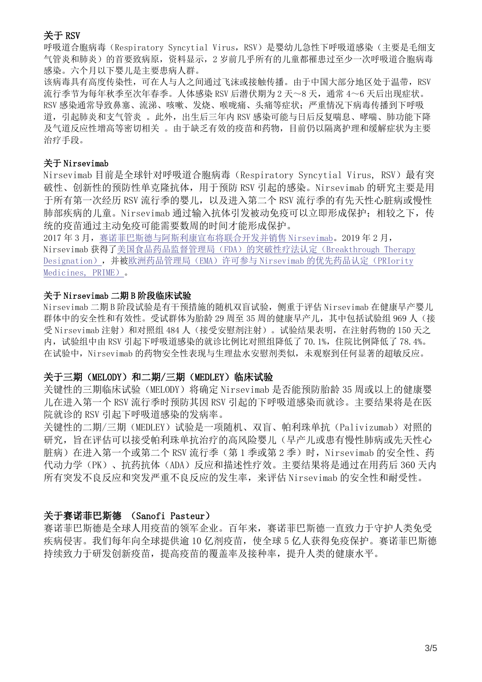# 关于 RSV

呼吸道合胞病毒(Respiratory Syncytial Virus, RSV)是婴幼儿急性下呼吸道感染(主要是毛细支 气管炎和肺炎)的首要致病原,资料显示,2 岁前几乎所有的儿童都罹患过至少一次呼吸道合胞病毒 感染。六个月以下婴儿是主要患病人群。

该病毒具有高度传染性,可在人与人之间通过飞沫或接触传播。由于中国大部分地区处于温带,RSV 流行季节为每年秋季至次年春季。人体感染 RSV 后潜伏期为 2 天~8 天, 通常 4~6 天后出现症状。 RSV 感染通常导致鼻塞、流涕、咳嗽、发烧、喉咙痛、头痛等症状;严重情况下病毒传播到下呼吸 道,引起肺炎和支气管炎 。此外,出生后三年内 RSV 感染可能与日后反复喘息、哮喘、肺功能下降 及气道反应性增高等密切相关 。由于缺乏有效的疫苗和药物,目前仍以隔离护理和缓解症状为主要 治疗手段。

#### 关于 Nirsevimab

Nirsevimab 目前是全球针对呼吸道合胞病毒(Respiratory Syncytial Virus, RSV)最有突 破性、创新性的预防性单克隆抗体,用于预防 RSV 引起的感染。Nirsevimab 的研究主要是用 于所有第一次经历 RSV 流行季的婴儿, 以及进入第二个 RSV 流行季的有先天性心脏病或慢性 肺部疾病的儿童。Nirsevimab 通过输入抗体引发被动免疫可以立即形成保护;相较之下,传 统的疫苗通过主动免疫可能需要数周的时间才能形成保护。

2017 年 3 月[,赛诺菲巴斯德与阿斯利康宣布将联合开发并销售](https://www.astrazeneca.com/media-centre/press-releases/2017/medimmune-and-sanofi-pasteur-form-alliance-to-develop-and-commercialise-potential-next-generation-respiratory-syncytial-virus-antibody-medi8897-030317.html#!) Nirsevimab。2019 年 2 月, Nirsevimab 获得[了美国食品药品监督管理局\(](https://www.astrazeneca.com/media-centre/press-releases/2019/us-fda-grants-breakthrough-therapy-designation-for-potential-next-generation-rsv-medicine-medi8897.html)FDA)的突破性疗法认定(Breakthrough Therapy [Designation](https://www.astrazeneca.com/media-centre/press-releases/2019/us-fda-grants-breakthrough-therapy-designation-for-potential-next-generation-rsv-medicine-medi8897.html)), 并[被欧洲药品管理局\(](https://www.astrazeneca.com/media-centre/press-releases/2019/ema-grants-prime-eligibility-for-potential-next-generation-rsv-medicine-medi8897-05022019.html)EMA)许可参与 Nirsevimab 的优先药品认定(PRIority [Medicines, PRIME](https://www.astrazeneca.com/media-centre/press-releases/2019/ema-grants-prime-eligibility-for-potential-next-generation-rsv-medicine-medi8897-05022019.html))。

#### 关于 Nirsevimab 二期 B 阶段临床试验

Nirsevimab 二期 B 阶段试验是有干预措施的随机双盲试验,侧重于评估 Nirsevimab 在健康早产婴儿 群体中的安全性和有效性。受试群体为胎龄 29 周至 35 周的健康早产儿, 其中包括试验组 969 人(接 受 Nirsevimab 注射)和对照组 484 人(接受安慰剂注射)。试验结果表明,在注射药物的 150 天之 内, 试验组中由 RSV 引起下呼吸道感染的就诊比例比对照组降低了 70.1%, 住院比例降低了 78.4%。 在试验中, Nirsevimab 的药物安全性表现与生理盐水安慰剂类似, 未观察到任何显著的超敏反应。

# 关于三期(MELODY)和二期/三期(MEDLEY)临床试验

关键性的三期临床试验(MELODY)将确定 Nirsevimab 是否能预防胎龄 35 周或以上的健康婴 儿在进入第一个 RSV 流行季时预防其因 RSV 引起的下呼吸道感染而就诊。主要结果将是在医 院就诊的 RSV 引起下呼吸道感染的发病率。

关键性的二期/三期(MEDLEY)试验是一项随机、双盲、帕利珠单抗(Palivizumab)对照的 研究,旨在评估可以接受帕利珠单抗治疗的高风险婴儿(早产儿或患有慢性肺病或先天性心 脏病)在进入第一个或第二个 RSV 流行季(第1季或第2季)时, Nirsevimab 的安全性、药 代动力学(PK)、抗药抗体(ADA)反应和描述性疗效。主要结果将是通过在用药后 360 天内 所有突发不良反应和突发严重不良反应的发生率,来评估 Nirsevimab 的安全性和耐受性。

# 关于赛诺菲巴斯德 (Sanofi Pasteur)

赛诺菲巴斯德是全球人用疫苗的领军企业。百年来,赛诺菲巴斯德一直致力于守护人类免受 疾病侵害。我们每年向全球提供逾 10 亿剂疫苗,使全球 5 亿人获得免疫保护。赛诺菲巴斯德 持续致力于研发创新疫苗,提高疫苗的覆盖率及接种率,提升人类的健康水平。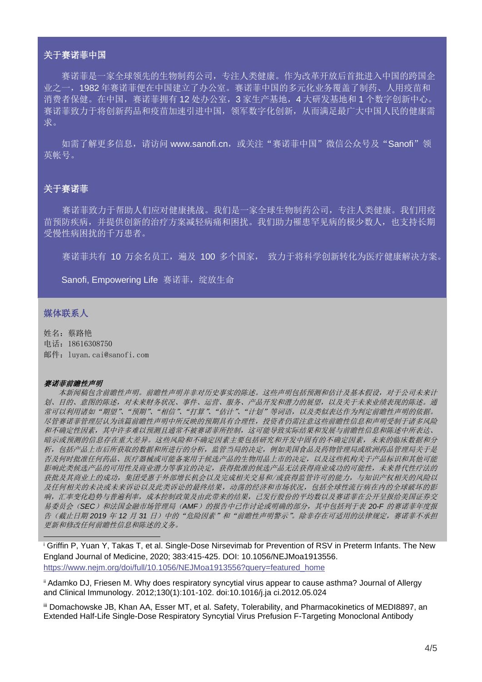#### 关于赛诺菲中国

赛诺菲是一家全球领先的生物制药公司,专注人类健康。作为改革开放后首批进入中国的跨国企 业之一,1982 年赛诺菲便在中国建立了办公室。赛诺菲中国的多元化业务覆盖了制药、人用疫苗和 消费者保健。在中国,赛诺菲拥有12 处办公室,3家生产基地,4 大研发基地和1 个数字创新中心。 赛诺菲致力于将创新药品和疫苗加速引进中国,领军数字化创新,从而满足最广大中国人民的健康需 求。

如需了解更多信息,请访问 www.sanofi.cn, 或关注"赛诺菲中国"微信公众号及"Sanofi"领 英帐号。

#### 关于赛诺菲

赛诺菲致力于帮助人们应对健康挑战。我们是一家全球生物制药公司,专注人类健康。我们用疫 苗预防疾病,并提供创新的治疗方案减轻病痛和困扰。我们助力罹患罕见病的极少数人,也支持长期 受慢性病困扰的千万患者。

寨诺菲共有 10 万余名员工, 遍及 100 多个国家, 致力于将科学创新转化为医疗健康解决方案。

Sanofi, Empowering Life 赛诺菲, 绽放生命

#### 媒体联系人

姓名:蔡路艳 电话:18616308750 邮件:luyan.cai@sanofi.com

#### 赛诺菲前瞻性声明

 本新闻稿包含前瞻性声明。前瞻性声明并非对历史事实的陈述。这些声明包括预测和估计及基本假设,对于公司未来计 划、目的、意图的陈述,对未来财务状况、事件、运营、服务、产品开发和潜力的展望,以及关于未来业绩表现的陈述。通 常可以利用诸如"期望"、"预期"、"相信"、"打算"、"估计"、"计划"等词语,以及类似表达作为判定前瞻性声明的依据。 尽管赛诺菲管理层认为该篇前瞻性声明中所反映的预期具有合理性,投资者仍需注意这些前瞻性信息和声明受制于诸多风险 和不确定性因素,其中许多难以预测且通常不被赛诺菲所控制,这可能导致实际结果和发展与前瞻性信息和陈述中所表达、 暗示或预测的信息存在重大差异。这些风险和不确定因素主要包括研究和开发中固有的不确定因素,未来的临床数据和分 析,包括产品上市后所获取的数据和所进行的分析,监管当局的决定,例如美国食品及药物管理局或欧洲药品管理局关于是 否及何时批准任何药品、医疗器械或可能备案用于候选产品的生物用品上市的决定,以及这些机构关于产品标识和其他可能 影响此类候选产品的可用性及商业潜力等事宜的决定,获得批准的候选产品无法获得商业成功的可能性,未来替代性疗法的 获批及其商业上的成功,集团受惠于外部增长机会以及完成相关交易和/或获得监管许可的能力,与知识产权相关的风险以 及任何相关的未决或未来诉讼以及此类诉讼的最终结果,动荡的经济和市场状况,包括全球性流行病在内的全球破坏的影 响,汇率变化趋势与普遍利率,成本控制政策及由此带来的结果,已发行股份的平均数以及赛诺菲在公开呈报给美国证券交 易委员会(SEC)和法国金融市场管理局(AMF)的报告中已作讨论或明确的部分,其中包括列于表 20-F 的赛诺菲年度报 告(截止日期 *2019* 年 *12* 月 *31* 日)中的"危险因素"和"前瞻性声明警示"。除非存在可适用的法律规定,赛诺菲不承担 更新和修改任何前瞻性信息和陈述的义务。

<sup>i</sup> Griffin P, Yuan Y, Takas T, et al. Single-Dose Nirsevimab for Prevention of RSV in Preterm Infants. The New England Journal of Medicine, 2020; 383:415-425. DOI: 10.1056/NEJMoa1913556. [https://www.nejm.org/doi/full/10.1056/NEJMoa1913556?query=featured\\_home](https://www.nejm.org/doi/full/10.1056/NEJMoa1913556?query=featured_home)

ii Adamko DJ, Friesen M. Why does respiratory syncytial virus appear to cause asthma? Journal of Allergy and Clinical Immunology. 2012;130(1):101-102. doi:10.1016/j.ja ci.2012.05.024

iii Domachowske JB, Khan AA, Esser MT, et al. Safety, Tolerability, and Pharmacokinetics of MEDI8897, an Extended Half-Life Single-Dose Respiratory Syncytial Virus Prefusion F-Targeting Monoclonal Antibody